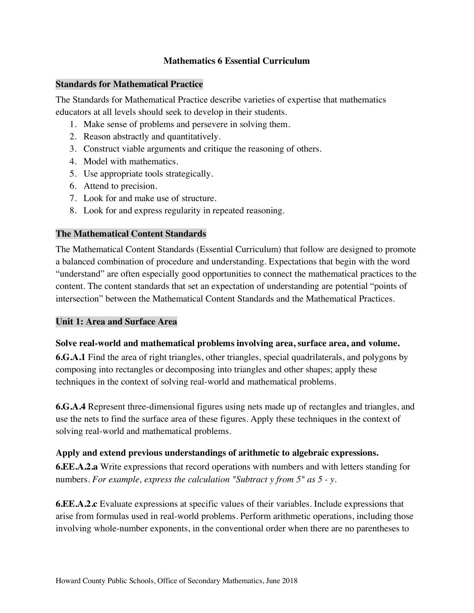### **Mathematics 6 Essential Curriculum**

#### **Standards for Mathematical Practice**

 The Standards for Mathematical Practice describe varieties of expertise that mathematics educators at all levels should seek to develop in their students.

- 1. Make sense of problems and persevere in solving them.
- 2. Reason abstractly and quantitatively.
- 3. Construct viable arguments and critique the reasoning of others.
- 4. Model with mathematics.
- 5. Use appropriate tools strategically.
- 6. Attend to precision.
- 7. Look for and make use of structure.
- 8. Look for and express regularity in repeated reasoning.

## **The Mathematical Content Standards**

 The Mathematical Content Standards (Essential Curriculum) that follow are designed to promote a balanced combination of procedure and understanding. Expectations that begin with the word "understand" are often especially good opportunities to connect the mathematical practices to the content. The content standards that set an expectation of understanding are potential "points of intersection" between the Mathematical Content Standards and the Mathematical Practices.

### **Unit 1: Area and Surface Area**

#### **Solve real-world and mathematical problems involving area, surface area, and volume.**

 **6.G.A.1** Find the area of right triangles, other triangles, special quadrilaterals, and polygons by composing into rectangles or decomposing into triangles and other shapes; apply these techniques in the context of solving real-world and mathematical problems.

 **6.G.A.4** Represent three-dimensional figures using nets made up of rectangles and triangles, and use the nets to find the surface area of these figures. Apply these techniques in the context of solving real-world and mathematical problems.

## **Apply and extend previous understandings of arithmetic to algebraic expressions.**

 **6.EE.A.2.a** Write expressions that record operations with numbers and with letters standing for  numbers. *For example, express the calculation "Subtract y from 5" as 5 - y*.

 **6.EE.A.2.c** Evaluate expressions at specific values of their variables. Include expressions that arise from formulas used in real-world problems. Perform arithmetic operations, including those involving whole-number exponents, in the conventional order when there are no parentheses to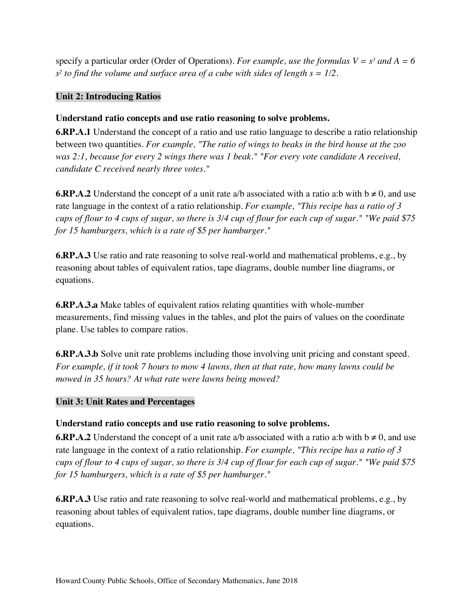specify a particular order (Order of Operations). *For example, use the formulas*  $V = s^3$  and  $A = 6$  *s2 to find the volume and surface area of a cube with sides of length s = 1/2*.

## **Unit 2: Introducing Ratios**

## **Understand ratio concepts and use ratio reasoning to solve problems.**

 **6.RP.A.1** Understand the concept of a ratio and use ratio language to describe a ratio relationship  between two quantities. *For example, "The ratio of wings to beaks in the bird house at the zoo was 2:1, because for every 2 wings there was 1 beak." "For every vote candidate A received, candidate C received nearly three votes."* 

**6.RP.A.2** Understand the concept of a unit rate a/b associated with a ratio a:b with  $b \neq 0$ , and use rate language in the context of a ratio relationship. *For example, "This recipe has a ratio of 3 cups of flour to 4 cups of sugar, so there is 3/4 cup of flour for each cup of sugar." "We paid \$75 for 15 hamburgers, which is a rate of \$5 per hamburger."* 

 **6.RP.A.3** Use ratio and rate reasoning to solve real-world and mathematical problems, e.g., by reasoning about tables of equivalent ratios, tape diagrams, double number line diagrams, or equations.

 **6.RP.A.3.a** Make tables of equivalent ratios relating quantities with whole-number measurements, find missing values in the tables, and plot the pairs of values on the coordinate plane. Use tables to compare ratios.

 **6.RP.A.3.b** Solve unit rate problems including those involving unit pricing and constant speed.  *For example, if it took 7 hours to mow 4 lawns, then at that rate, how many lawns could be mowed in 35 hours? At what rate were lawns being mowed?* 

## **Unit 3: Unit Rates and Percentages**

## **Understand ratio concepts and use ratio reasoning to solve problems.**

**6.RP.A.2** Understand the concept of a unit rate a/b associated with a ratio a:b with  $b \neq 0$ , and use rate language in the context of a ratio relationship. *For example, "This recipe has a ratio of 3 cups of flour to 4 cups of sugar, so there is 3/4 cup of flour for each cup of sugar." "We paid \$75 for 15 hamburgers, which is a rate of \$5 per hamburger."* 

 **6.RP.A.3** Use ratio and rate reasoning to solve real-world and mathematical problems, e.g., by reasoning about tables of equivalent ratios, tape diagrams, double number line diagrams, or equations.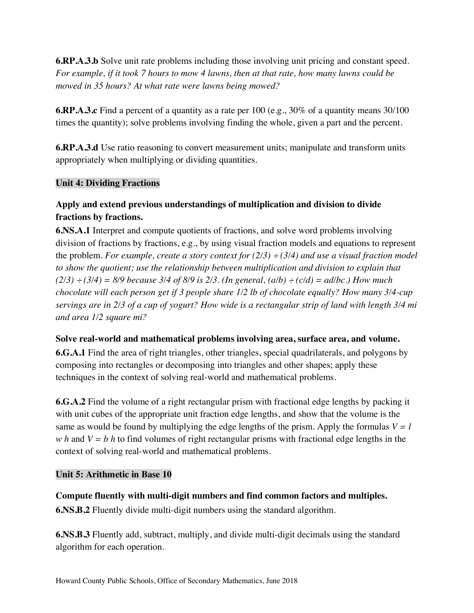**6.RP.A.3.b** Solve unit rate problems including those involving unit pricing and constant speed.  *For example, if it took 7 hours to mow 4 lawns, then at that rate, how many lawns could be mowed in 35 hours? At what rate were lawns being mowed?* 

 **6.RP.A.3.c** Find a percent of a quantity as a rate per 100 (e.g., 30% of a quantity means 30/100 times the quantity); solve problems involving finding the whole, given a part and the percent.

 **6.RP.A.3.d** Use ratio reasoning to convert measurement units; manipulate and transform units appropriately when multiplying or dividing quantities.

## **Unit 4: Dividing Fractions**

# **Apply and extend previous understandings of multiplication and division to divide fractions by fractions.**

 **6.NS.A.1** Interpret and compute quotients of fractions, and solve word problems involving division of fractions by fractions, e.g., by using visual fraction models and equations to represent the problem. *For example, create a story context for (2/3) ÷ (3/4) and use a visual fraction model to show the quotient; use the relationship between multiplication and division to explain that*   $(2/3) \div (3/4) = 8/9$  because 3/4 of 8/9 is 2/3. (In general,  $(a/b) \div (c/d) = ad/bc$ .) How much  *chocolate will each person get if 3 people share 1/2 lb of chocolate equally? How many 3/4-cup servings are in 2/3 of a cup of yogurt? How wide is a rectangular strip of land with length 3/4 mi and area 1/2 square mi?* 

## **Solve real-world and mathematical problems involving area, surface area, and volume.**

 **6.G.A.1** Find the area of right triangles, other triangles, special quadrilaterals, and polygons by composing into rectangles or decomposing into triangles and other shapes; apply these techniques in the context of solving real-world and mathematical problems.

 **6.G.A.2** Find the volume of a right rectangular prism with fractional edge lengths by packing it with unit cubes of the appropriate unit fraction edge lengths, and show that the volume is the same as would be found by multiplying the edge lengths of the prism. Apply the formulas  $V = l$ *w h* and  $V = b$  *h* to find volumes of right rectangular prisms with fractional edge lengths in the context of solving real-world and mathematical problems.

# **Unit 5: Arithmetic in Base 10**

 **Compute fluently with multi-digit numbers and find common factors and multiples. 6.NS.B.2** Fluently divide multi-digit numbers using the standard algorithm.

 **6.NS.B.3** Fluently add, subtract, multiply, and divide multi-digit decimals using the standard algorithm for each operation.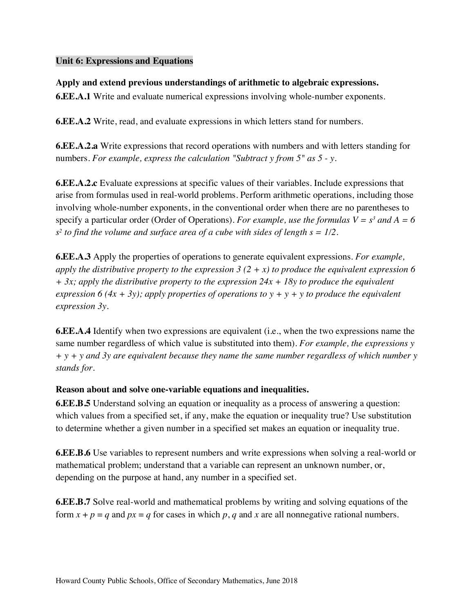### **Unit 6: Expressions and Equations**

## **Apply and extend previous understandings of arithmetic to algebraic expressions.**

**6.EE.A.1** Write and evaluate numerical expressions involving whole-number exponents.

**6.EE.A.2** Write, read, and evaluate expressions in which letters stand for numbers.

 **6.EE.A.2.a** Write expressions that record operations with numbers and with letters standing for  numbers. *For example, express the calculation "Subtract y from 5" as 5 - y*.

 **6.EE.A.2.c** Evaluate expressions at specific values of their variables. Include expressions that arise from formulas used in real-world problems. Perform arithmetic operations, including those involving whole-number exponents, in the conventional order when there are no parentheses to specify a particular order (Order of Operations). *For example, use the formulas*  $V = s<sup>3</sup>$  and  $A = 6$  *s2 to find the volume and surface area of a cube with sides of length s = 1/2*.

 **6.EE.A.3** Apply the properties of operations to generate equivalent expressions. *For example, apply the distributive property to the expression 3 (2 + x) to produce the equivalent expression 6 + 3x; apply the distributive property to the expression 24x + 18y to produce the equivalent expression 6 (4x + 3y); apply properties of operations to y + y + y to produce the equivalent expression 3y*.

 **6.EE.A.4** Identify when two expressions are equivalent (i.e., when the two expressions name the same number regardless of which value is substituted into them). *For example, the expressions y + y + y and 3y are equivalent because they name the same number regardless of which number y stands for.* 

#### **Reason about and solve one-variable equations and inequalities.**

 **6.EE.B.5** Understand solving an equation or inequality as a process of answering a question: which values from a specified set, if any, make the equation or inequality true? Use substitution to determine whether a given number in a specified set makes an equation or inequality true.

 **6.EE.B.6** Use variables to represent numbers and write expressions when solving a real-world or mathematical problem; understand that a variable can represent an unknown number, or, depending on the purpose at hand, any number in a specified set.

 **6.EE.B.7** Solve real-world and mathematical problems by writing and solving equations of the form  $x + p = q$  and  $px = q$  for cases in which  $p, q$  and  $x$  are all nonnegative rational numbers.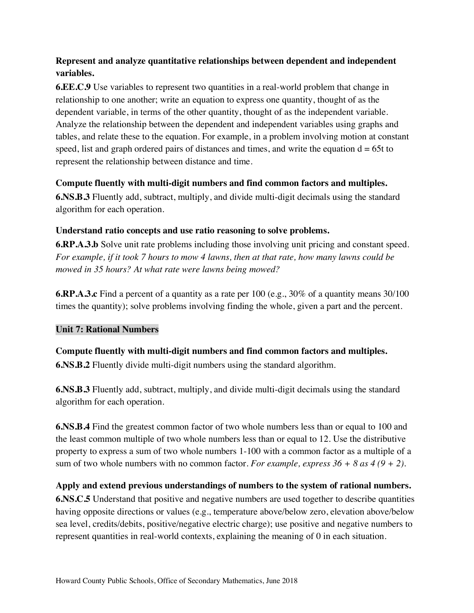# **Represent and analyze quantitative relationships between dependent and independent variables.**

 **6.EE.C.9** Use variables to represent two quantities in a real-world problem that change in relationship to one another; write an equation to express one quantity, thought of as the dependent variable, in terms of the other quantity, thought of as the independent variable. Analyze the relationship between the dependent and independent variables using graphs and tables, and relate these to the equation. For example, in a problem involving motion at constant speed, list and graph ordered pairs of distances and times, and write the equation  $d = 65t$  to represent the relationship between distance and time.

## **Compute fluently with multi-digit numbers and find common factors and multiples.**

 **6.NS.B.3** Fluently add, subtract, multiply, and divide multi-digit decimals using the standard algorithm for each operation.

## **Understand ratio concepts and use ratio reasoning to solve problems.**

 **6.RP.A.3.b** Solve unit rate problems including those involving unit pricing and constant speed.  *For example, if it took 7 hours to mow 4 lawns, then at that rate, how many lawns could be mowed in 35 hours? At what rate were lawns being mowed?* 

 **6.RP.A.3.c** Find a percent of a quantity as a rate per 100 (e.g., 30% of a quantity means 30/100 times the quantity); solve problems involving finding the whole, given a part and the percent.

# **Unit 7: Rational Numbers**

 **Compute fluently with multi-digit numbers and find common factors and multiples. 6.NS.B.2** Fluently divide multi-digit numbers using the standard algorithm.

 **6.NS.B.3** Fluently add, subtract, multiply, and divide multi-digit decimals using the standard algorithm for each operation.

 **6.NS.B.4** Find the greatest common factor of two whole numbers less than or equal to 100 and the least common multiple of two whole numbers less than or equal to 12. Use the distributive property to express a sum of two whole numbers 1-100 with a common factor as a multiple of a sum of two whole numbers with no common factor. *For example, express*  $36 + 8$  as  $4(9 + 2)$ .

### **Apply and extend previous understandings of numbers to the system of rational numbers.**

 **6.NS.C.5** Understand that positive and negative numbers are used together to describe quantities having opposite directions or values (e.g., temperature above/below zero, elevation above/below sea level, credits/debits, positive/negative electric charge); use positive and negative numbers to represent quantities in real-world contexts, explaining the meaning of 0 in each situation.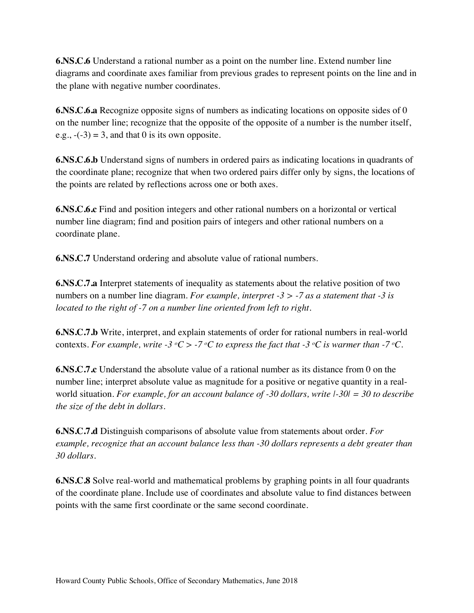**6.NS.C.6** Understand a rational number as a point on the number line. Extend number line diagrams and coordinate axes familiar from previous grades to represent points on the line and in the plane with negative number coordinates.

 **6.NS.C.6.a** Recognize opposite signs of numbers as indicating locations on opposite sides of 0 on the number line; recognize that the opposite of the opposite of a number is the number itself, e.g.,  $-(-3) = 3$ , and that 0 is its own opposite.

 **6.NS.C.6.b** Understand signs of numbers in ordered pairs as indicating locations in quadrants of the coordinate plane; recognize that when two ordered pairs differ only by signs, the locations of the points are related by reflections across one or both axes.

 **6.NS.C.6.c** Find and position integers and other rational numbers on a horizontal or vertical number line diagram; find and position pairs of integers and other rational numbers on a coordinate plane.

**6.NS.C.7** Understand ordering and absolute value of rational numbers.

 **6.NS.C.7.a** Interpret statements of inequality as statements about the relative position of two numbers on a number line diagram. *For example, interpret -3 > -7 as a statement that -3 is located to the right of -7 on a number line oriented from left to right*.

 **6.NS.C.7.b** Write, interpret, and explain statements of order for rational numbers in real-world contexts. *For example, write -3*  $\mathrm{^oC}$  > -7  $\mathrm{^oC}$  to express the fact that -3  $\mathrm{^oC}$  is warmer than -7  $\mathrm{^oC}$ .

**6.NS.C.7.c** Understand the absolute value of a rational number as its distance from 0 on the number line; interpret absolute value as magnitude for a positive or negative quantity in a real- world situation. *For example, for an account balance of -30 dollars, write |-30| = 30 to describe the size of the debt in dollars*.

 **6.NS.C.7.d** Distinguish comparisons of absolute value from statements about order. *For example, recognize that an account balance less than -30 dollars represents a debt greater than 30 dollars*.

 **6.NS.C.8** Solve real-world and mathematical problems by graphing points in all four quadrants of the coordinate plane. Include use of coordinates and absolute value to find distances between points with the same first coordinate or the same second coordinate.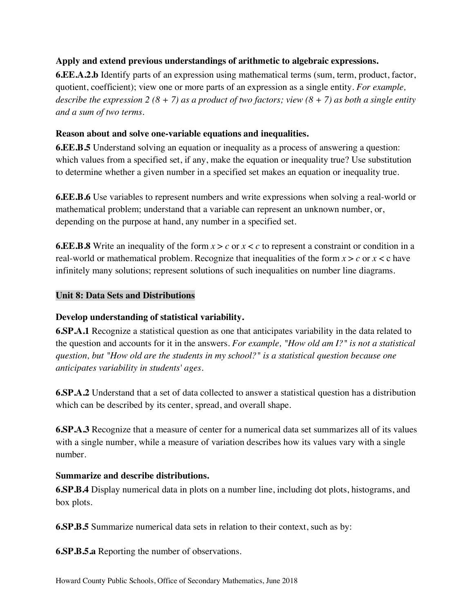## **Apply and extend previous understandings of arithmetic to algebraic expressions.**

 **6.EE.A.2.b** Identify parts of an expression using mathematical terms (sum, term, product, factor, quotient, coefficient); view one or more parts of an expression as a single entity. *For example, describe the expression*  $2(8 + 7)$  as a product of two factors; view  $(8 + 7)$  as both a single entity  *and a sum of two terms*.

### **Reason about and solve one-variable equations and inequalities.**

 **6.EE.B.5** Understand solving an equation or inequality as a process of answering a question: which values from a specified set, if any, make the equation or inequality true? Use substitution to determine whether a given number in a specified set makes an equation or inequality true.

 **6.EE.B.6** Use variables to represent numbers and write expressions when solving a real-world or mathematical problem; understand that a variable can represent an unknown number, or, depending on the purpose at hand, any number in a specified set.

 **6.EE.B.8** Write an inequality of the form *x* > *c* or *x* < *c* to represent a constraint or condition in a real-world or mathematical problem. Recognize that inequalities of the form *x* > *c* or *x* < c have infinitely many solutions; represent solutions of such inequalities on number line diagrams.

## **Unit 8: Data Sets and Distributions**

# **Develop understanding of statistical variability.**

 **6.SP.A.1** Recognize a statistical question as one that anticipates variability in the data related to the question and accounts for it in the answers. *For example, "How old am I?" is not a statistical question, but "How old are the students in my school?" is a statistical question because one anticipates variability in students' ages*.

 **6.SP.A.2** Understand that a set of data collected to answer a statistical question has a distribution which can be described by its center, spread, and overall shape.

 **6.SP.A.3** Recognize that a measure of center for a numerical data set summarizes all of its values with a single number, while a measure of variation describes how its values vary with a single number.

#### **Summarize and describe distributions.**

 **6.SP.B.4** Display numerical data in plots on a number line, including dot plots, histograms, and box plots.

**6.SP.B.5** Summarize numerical data sets in relation to their context, such as by:

**6.SP.B.5.a** Reporting the number of observations.